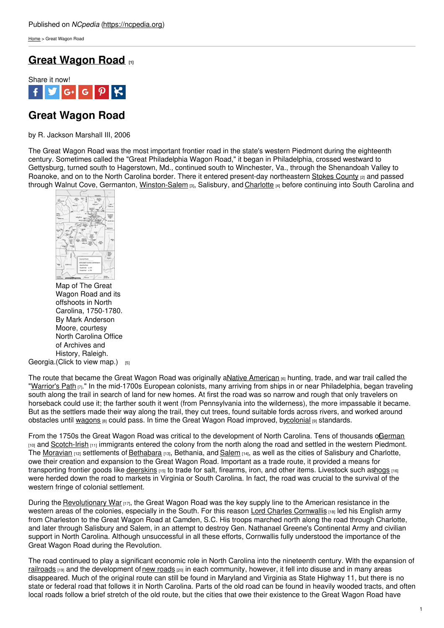[Home](https://ncpedia.org/) > Great Wagon Road

# **Great [Wagon](https://ncpedia.org/great-wagon-road) Road [1]**



# **Great Wagon Road**

by R. Jackson Marshall III, 2006

The Great Wagon Road was the most important frontier road in the state's western Piedmont during the eighteenth century. Sometimes called the "Great Philadelphia Wagon Road," it began in Philadelphia, crossed westward to Gettysburg, turned south to Hagerstown, Md., continued south to Winchester, Va., through the Shenandoah Valley to Roanoke, and on to the North Carolina border. There it entered present-day northeastern Stokes [County](https://ncpedia.org/geography/stokes) <sub>[2]</sub> and passed through Walnut Cove, Germanton, [Winston-Salem](https://ncpedia.org/geography/winston-salem) [3], Salisbury, and [Charlotte](https://ncpedia.org/geography/charlotte) [4] before continuing into South Carolina and



Georgia.(Click to view [map.\)](https://ncpedia.org/sites/default/files/images/enc/map13_lg.png) [5] Map of The Great Wagon Road and its offshoots in North Carolina, 1750-1780. By Mark Anderson Moore, courtesy North Carolina Office of Archives and History, Raleigh.

The route that became the Great Wagon Road was originally aNative [American](https://ncpedia.org/american-indians/introduction)  $_{[6]}$  hunting, trade, and war trail called the ["Warrior's](https://ncpedia.org/indian-trading-paths) Path [7]." In the mid-1700s European colonists, many arriving from ships in or near Philadelphia, began traveling south along the trail in search of land for new homes. At first the road was so narrow and rough that only travelers on horseback could use it; the farther south it went (from Pennsylvania into the wilderness), the more impassable it became. But as the settlers made their way along the trail, they cut trees, found suitable fords across rivers, and worked around obstacles until [wagons](https://ncpedia.org/road-wagons) [8] could pass. In time the Great Wagon Road improved, b[ycolonial](https://ncpedia.org/colonial-period-overview) [9] standards.

From the 1750s the Great Wagon Road was critical to the development of North Carolina. Tens of thousands oG[erman](https://ncpedia.org/german-settlers) [10] and [Scotch-Irish](https://ncpedia.org/immigrant-colonies) [11] immigrants entered the colony from the north along the road and settled in the western Piedmont. The [Moravian](https://ncpedia.org/moravians) [12] settlements of [Bethabara](https://ncpedia.org/bethabara) [13], Bethania, and [Salem](https://ncpedia.org/salem) [14], as well as the cities of Salisbury and Charlotte, owe their creation and expansion to the Great Wagon Road. Important as a trade route, it provided a means for transporting frontier goods like [deerskins](https://ncpedia.org/fur-and-skin-trade) [15] to trade for salt, firearms, iron, and other items. Livestock such a[shogs](https://ncpedia.org/hog-farming) [16] were herded down the road to markets in Virginia or South Carolina. In fact, the road was crucial to the survival of the western fringe of colonial settlement.

During the [Revolutionary](https://ncpedia.org/american-revolution) War [17], the Great Wagon Road was the key supply line to the American resistance in the western areas of the colonies, especially in the South. For this reason Lord Charles [Cornwallis](http://www.thepeerage.com/p19799.htm#i197984) [18] led his English army from Charleston to the Great Wagon Road at Camden, S.C. His troops marched north along the road through Charlotte, and later through Salisbury and Salem, in an attempt to destroy Gen. Nathanael Greene's Continental Army and civilian support in North Carolina. Although unsuccessful in all these efforts, Cornwallis fully understood the importance of the Great Wagon Road during the Revolution.

The road continued to play a significant economic role in North Carolina into the nineteenth century. With the expansion of [railroads](https://ncpedia.org/railroads) [19] and the development of new [roads](https://ncpedia.org/roads) [20] in each community, however, it fell into disuse and in many areas disappeared. Much of the original route can still be found in Maryland and Virginia as State Highway 11, but there is no state or federal road that follows it in North Carolina. Parts of the old road can be found in heavily wooded tracts, and often local roads follow a brief stretch of the old route, but the cities that owe their existence to the Great Wagon Road have